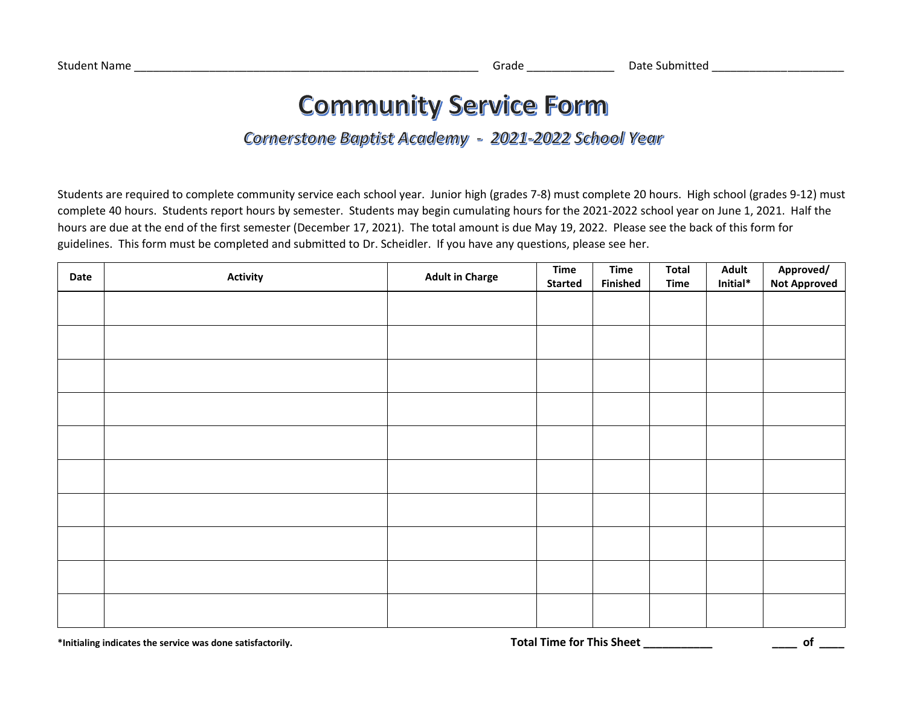# **Community Service Form**

# Cornerstone Baptist Academy - 2021-2022 School Year

Students are required to complete community service each school year. Junior high (grades 7-8) must complete 20 hours. High school (grades 9-12) must complete 40 hours. Students report hours by semester. Students may begin cumulating hours for the 2021-2022 school year on June 1, 2021. Half the hours are due at the end of the first semester (December 17, 2021). The total amount is due May 19, 2022. Please see the back of this form for guidelines. This form must be completed and submitted to Dr. Scheidler. If you have any questions, please see her.

| Date | <b>Activity</b> | <b>Adult in Charge</b> | <b>Time</b>    | <b>Time</b>     | <b>Total</b> | <b>Adult</b><br>Initial $*$ | Approved/<br>Not Approved |
|------|-----------------|------------------------|----------------|-----------------|--------------|-----------------------------|---------------------------|
|      |                 |                        | <b>Started</b> | <b>Finished</b> | <b>Time</b>  |                             |                           |
|      |                 |                        |                |                 |              |                             |                           |
|      |                 |                        |                |                 |              |                             |                           |
|      |                 |                        |                |                 |              |                             |                           |
|      |                 |                        |                |                 |              |                             |                           |
|      |                 |                        |                |                 |              |                             |                           |
|      |                 |                        |                |                 |              |                             |                           |
|      |                 |                        |                |                 |              |                             |                           |
|      |                 |                        |                |                 |              |                             |                           |
|      |                 |                        |                |                 |              |                             |                           |
|      |                 |                        |                |                 |              |                             |                           |
|      |                 |                        |                |                 |              |                             |                           |
|      |                 |                        |                |                 |              |                             |                           |
|      |                 |                        |                |                 |              |                             |                           |
|      |                 |                        |                |                 |              |                             |                           |
|      |                 |                        |                |                 |              |                             |                           |
|      |                 |                        |                |                 |              |                             |                           |
|      |                 |                        |                |                 |              |                             |                           |
|      |                 |                        |                |                 |              |                             |                           |
|      |                 |                        |                |                 |              |                             |                           |
|      |                 |                        |                |                 |              |                             |                           |

**\*Initialing indicates the service was done satisfactorily. Total Time for This Sheet \_\_\_\_\_\_\_\_\_\_\_ \_\_\_\_ of \_\_\_\_**